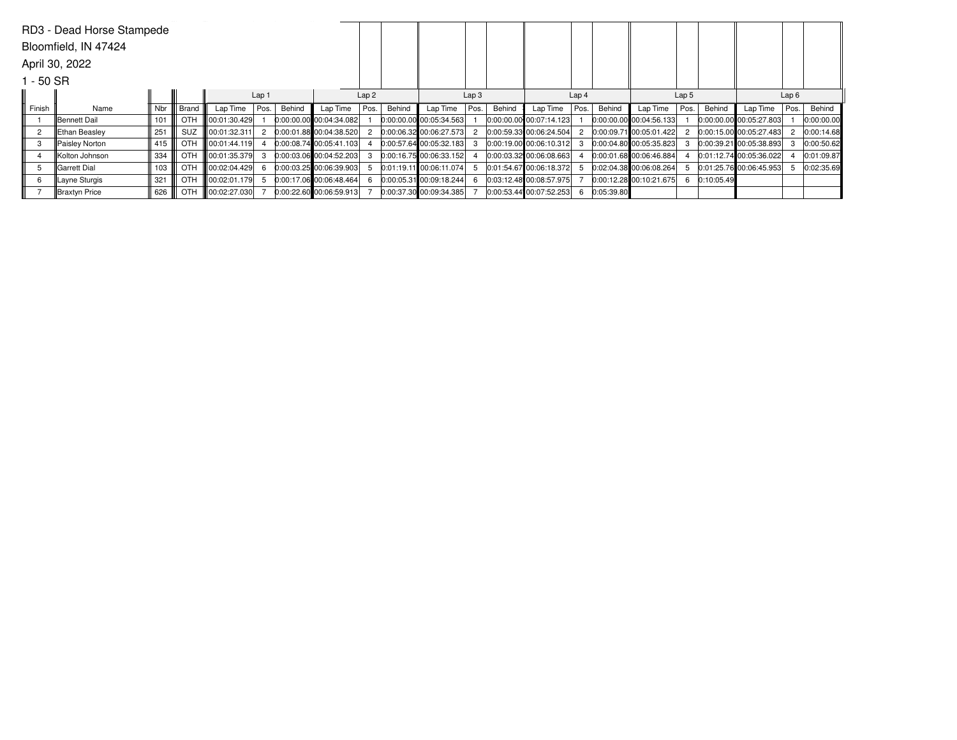| RD3 - Dead Horse Stampede |                |        |       |                      |      |        |                           |      |        |                           |      |        |                           |      |            |                         |      |            |                         |      |            |
|---------------------------|----------------|--------|-------|----------------------|------|--------|---------------------------|------|--------|---------------------------|------|--------|---------------------------|------|------------|-------------------------|------|------------|-------------------------|------|------------|
| Bloomfield, IN 47424      |                |        |       |                      |      |        |                           |      |        |                           |      |        |                           |      |            |                         |      |            |                         |      |            |
| April 30, 2022            |                |        |       |                      |      |        |                           |      |        |                           |      |        |                           |      |            |                         |      |            |                         |      |            |
| 1 - 50 SR                 |                |        |       |                      |      |        |                           |      |        |                           |      |        |                           |      |            |                         |      |            |                         |      |            |
|                           |                |        |       | Lap 1                |      |        | Lap2                      |      |        | Lap <sub>3</sub>          |      |        | Lap <sub>4</sub>          |      |            | Lap <sub>5</sub>        |      |            | Lap6                    |      |            |
| Finish                    | Name           | Nbr    | Brand | Lap Time             | Pos. | Behind | Lap Time                  | Pos. | Behind | Lap Time                  | Pos. | Behind | Lap Time                  | Pos. | Behind     | Lap Time                | Pos. | Behind     | Lap Time                | Pos. | Behind     |
|                           | Bennett Dail   | 101    | OTH   | 00:01:30.429         |      |        | 0:00:00.00 00:04:34.082   |      |        | 0:00:00.00 00:05:34.563   |      |        | 0:00:00.00 00:07:14.123   |      |            | 0:00:00.00 00:04:56.133 |      |            | 0:00:00.00 00:05:27.803 |      | 0:00:00.00 |
| $\overline{2}$            | Ethan Beasley  | 251    | SUZ   | 00:01:32.311         |      |        | $0:00:01.88$ 00:04:38.520 |      |        | $0:00:06.32$ 00:06:27.573 |      |        | 0:00:59.33 00:06:24.504   |      |            | 0:00:09.71 00:05:01.422 |      |            | 0:00:15.00 00:05:27.483 |      | 0:00:14.68 |
| 3                         | Paisley Norton | 415 II | OTH   | O0:01:44.119         |      |        | 0:00:08.74 00:05:41.103   |      |        | $0.00:57.64$ 00:05:32.183 |      |        | $0.00:19.00$ 00:06:10.312 |      |            | 0:00:04.80 00:05:35.823 |      |            | 0:00:39.21 00:05:38.893 |      | 0:00:50.62 |
|                           | Kolton Johnson | 334    | OTH   | 00:01:35.379         |      |        | $0:00:03.06$ 00:04:52.203 |      |        | $0:00:16.75$ 00:06:33.152 |      |        | 0:00:03.32 00:06:08.663   |      |            | 0:00:01.68 00:06:46.884 |      |            | 0:01:12.74 00:05:36.022 |      | 0:01:09.87 |
| 5                         | Garrett Dial   | 103    | OTH   | $\  00:02:04.429 \ $ |      |        | $0:00:03.25$ 00:06:39.903 |      |        | 0:01:19.11 00:06:11.074   |      |        | $0.01.54.67$ 00:06:18.372 |      |            | 0:02:04.38 00:06:08.264 |      |            | 0:01:25.76 00:06:45.953 |      | 0:02:35.69 |
| 6                         | Layne Sturgis  | 321    | OTH   | $\ 00:02:01.179\ $   |      |        | 0:00:17.06 00:06:48.464   |      |        | 0:00:05.31 00:09:18.244   |      |        | 0:03:12.48 00:08:57.975   |      |            | 0:00:12.28 00:10:21.675 |      | 0:10:05.49 |                         |      |            |
|                           | Braxtyn Price  | 626 II | OTH   | $\log_{10}02:27.030$ |      |        | $0:00:22.60$ 00:06:59.913 |      |        | 0:00:37.30 00:09:34.385   |      |        | 0:00:53.44 00:07:52.253   |      | 0:05:39.80 |                         |      |            |                         |      |            |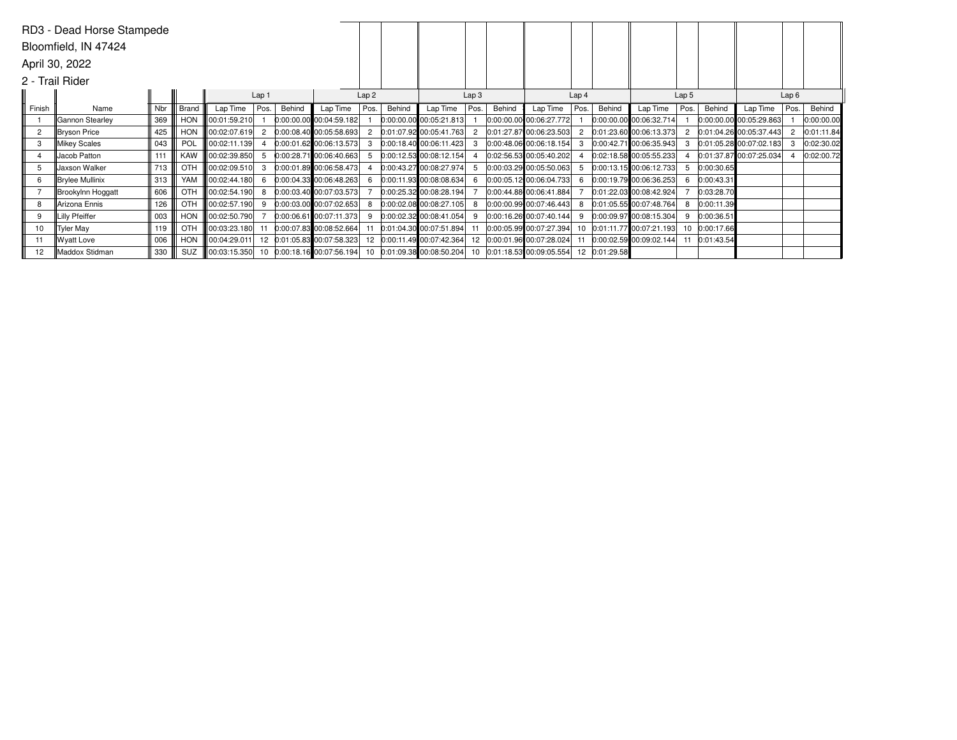|                      | RD3 - Dead Horse Stampede |                  |            |                      |                |        |                            |                  |        |                            |                  |        |                            |                  |               |                             |                  |            |                             |      |            |  |
|----------------------|---------------------------|------------------|------------|----------------------|----------------|--------|----------------------------|------------------|--------|----------------------------|------------------|--------|----------------------------|------------------|---------------|-----------------------------|------------------|------------|-----------------------------|------|------------|--|
| Bloomfield, IN 47424 |                           |                  |            |                      |                |        |                            |                  |        |                            |                  |        |                            |                  |               |                             |                  |            |                             |      |            |  |
| April 30, 2022       |                           |                  |            |                      |                |        |                            |                  |        |                            |                  |        |                            |                  |               |                             |                  |            |                             |      |            |  |
| 2 - Trail Rider      |                           |                  |            |                      |                |        |                            |                  |        |                            |                  |        |                            |                  |               |                             |                  |            |                             |      |            |  |
|                      |                           | Lap <sub>1</sub> |            |                      |                |        |                            | Lap <sub>2</sub> |        |                            | Lap <sub>3</sub> |        |                            | Lap <sub>4</sub> |               |                             | Lap <sub>5</sub> |            |                             | Lap6 |            |  |
| Finish               | Name                      | Nbr              | Brand      | Lap Time             | Pos.           | Behind | Lap Time                   | Pos.             | Behind | Lap Time                   | Pos.             | Behind | Lap Time                   | Pos.             | Behind        | Lap Time                    | Pos.             | Behind     | Lap Time                    | Pos. | Behind     |  |
|                      | Gannon Stearley           | 369              | <b>HON</b> | 00:01:59.210         |                |        | 0:00:00.00 00:04:59.182    |                  |        | $0:00:00.00$ 00:05:21.813  |                  |        | 0:00:00.00 00:06:27.772    |                  |               | $ 0:00:00.00 $ 00:06:32.714 |                  |            | $ 0:00:00.00 $ 00:05:29.863 |      | 0:00:00.00 |  |
| $\overline{2}$       | Bryson Price              | 425              | HON        | 00:02:07.619         | $\overline{2}$ |        | $0:00:08.40$ 00:05:58.693  |                  |        | $0:01:07.92$ 00:05:41.763  |                  |        | 0:01:27.87 00:06:23.503    |                  |               | 0:01:23.60 00:06:13.373     |                  |            | 0:01:04.26 00:05:37.443     |      | 0:01:11.84 |  |
| 3                    | Mikey Scales              | 043              | POL        | 00:02:11.139         |                |        | $0:00:01.62$ 00:06:13.573  |                  |        | $0:00:18.40$ 00:06:11.423  |                  |        | 0:00:48.06 00:06:18.154    |                  |               | 0:00:42.71 00:06:35.943     |                  |            | $0.01:05.28$ 00:07:02.183   |      | 0:02:30.02 |  |
| 4                    | Jacob Patton              | 111              | <b>KAW</b> | 00:02:39.850         | 5              |        | 0:00:28.71 00:06:40.663    |                  |        | [0:00:12.53, 00:08:12.154] |                  |        | 0:02:56.53 00:05:40.202    |                  |               | $0.02:18.58$ 00:05:55.233   |                  |            | $0:01:37.87$ 00:07:25.034   |      | 0:02:00.72 |  |
| 5                    | Jaxson Walker             | 713              | OTH        | 00:02:09.510         | 3              |        | $0:00:01.89$ 00:06:58.473  |                  |        | 0:00:43.27 00:08:27.974    |                  |        | 0:00:03.29 00:05:50.063    | 5.               |               | $0:00:13.15$ 00:06:12.733   |                  | 0:00:30.65 |                             |      |            |  |
| 6                    | Brylee Mullinix           | 313              | YAM        | 00:02:44.180         | 6              |        | $0:00:04.33$ 00:06:48.263  |                  |        | $0:00:11.93$ 00:08:08.634  |                  |        | 0:00:05.12 00:06:04.733    | 6                |               | 0.00:19.7900:06:36.253      | 6                | 0:00:43.31 |                             |      |            |  |
|                      | Brookylnn Hoggatt         | 606              | OTH        | 00:02:54.190         | 8              |        | $0:00:03.40$ 00:07:03.573  |                  |        | $0:00:25.32$ 00:08:28.194  |                  |        | 0:00:44.88 00:06:41.884    |                  |               | 0:01:22.03 00:08:42.924     |                  | 0:03:28.70 |                             |      |            |  |
| 8                    | Arizona Ennis             | 126              | OTH        | 00:02:57.190         | 9              |        | $0:00:03.00$ 00:07:02.653  |                  |        | $0.00.02.08$ 00:08:27.105  |                  |        | 0:00:00.99 00:07:46.443    |                  |               | 8 0:01:05.55 00:07:48.764   |                  | 0:00:11.39 |                             |      |            |  |
| 9                    | Lilly Pfeiffer            | 003              | <b>HON</b> | 00:02:50.790         |                |        | 0:00:06.61 00:07:11.373    |                  |        | $0.00.02.32$ 00:08:41.054  |                  |        | 0:00:16.26 00:07:40.144    |                  |               | 9 0:00:09.97 00:08:15.304   | 9                | 0:00:36.51 |                             |      |            |  |
| 10                   | Tyler May                 | 119              | OTH        | 00:03:23.180         |                |        | 0:00:07.83 00:08:52.664    |                  |        | 0:01:04.30 00:07:51.894    |                  |        | $0:00:05.99$ 00:07:27.394  |                  |               | 10 0:01:11.77 00:07:21.193  | 10               | 0:00:17.66 |                             |      |            |  |
| 11                   | Wyatt Love                | 006              | <b>HON</b> | 00:04:29.011         |                |        | 12 0:01:05.83 00:07:58.323 | 12               |        | 0:00:11.49 00:07:42.364    |                  |        | 0:00:01.96 00:07:28.024    |                  |               | 11 0:00:02.59 00:09:02.144  |                  | 0:01:43.54 |                             |      |            |  |
| 12 <sup>2</sup>      | Maddox Stidman            | 330              | SUZ        | $\  00:03:15.350 \ $ |                |        | 10 0:00:18.16 00:07:56.194 |                  |        | 10 0:01:09.38 00:08:50.204 |                  |        | 10 0:01:18.53 00:09:05.554 |                  | 12 0:01:29.58 |                             |                  |            |                             |      |            |  |